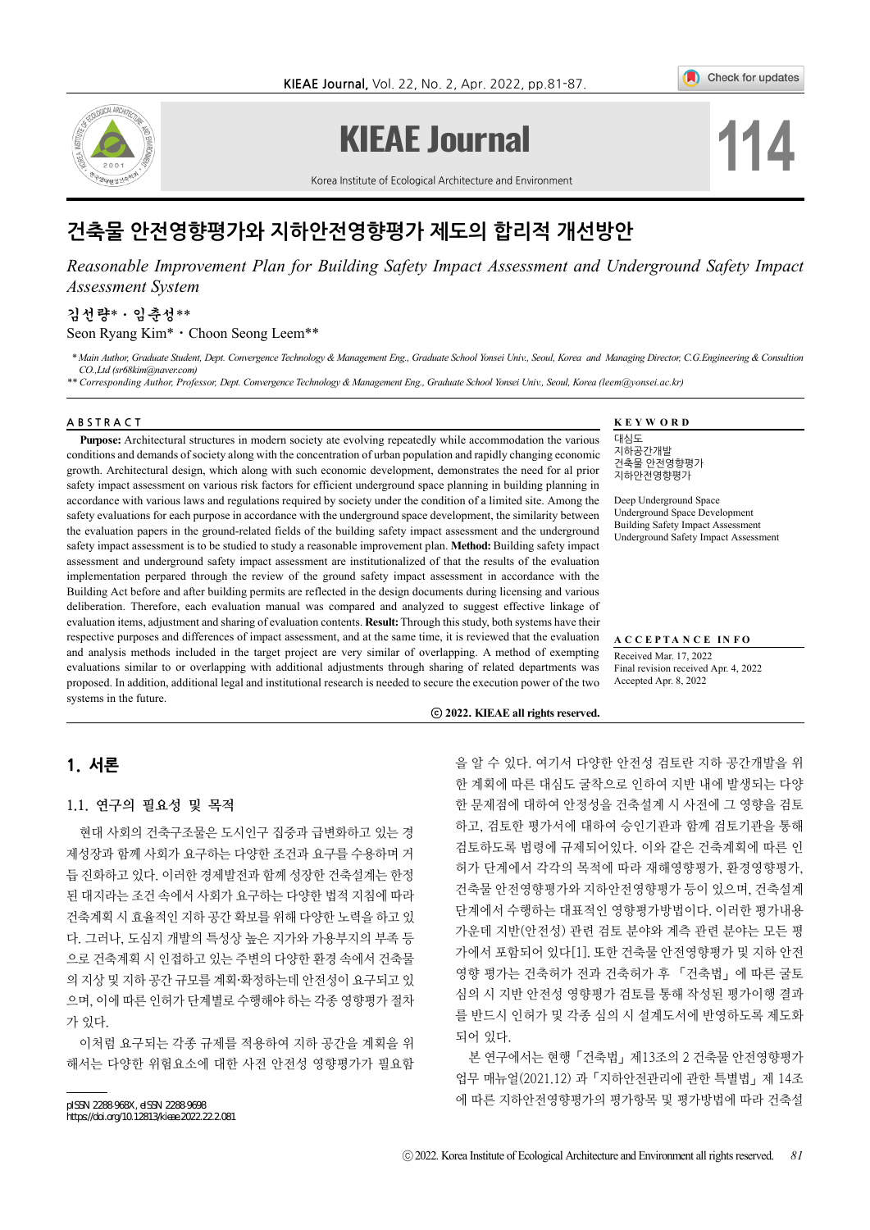

# **KIEAE Journal**

Check for updates

**114**

Korea Institute of Ecological Architecture and Environment

# 건축물 안전영향평가와 지하안전영향평가 제도의 합리적 개선방안

*Reasonable Improvement Plan for Building Safety Impact Assessment and Underground Safety Impact Assessment System*

# 김선량\*⋅임춘성\*\*

Seon Ryang Kim\*⋅Choon Seong Leem\*\*

 *\* Main Author, Graduate Student, Dept. Convergence Technology & Management Eng., Graduate School Yonsei Univ., Seoul, Korea and Managing Director, C.G.Engineering & Consultion CO.,Ltd (sr68kim@naver.com)*

*\*\* Corresponding Author, Professor, Dept. Convergence Technology & Management Eng., Graduate School Yonsei Univ., Seoul, Korea (leem@yonsei.ac.kr)*

#### ABSTRACT **KEYWORD**

**Purpose:** Architectural structures in modern society ate evolving repeatedly while accommodation the various conditions and demands of society along with the concentration of urban population and rapidly changing economic growth. Architectural design, which along with such economic development, demonstrates the need for al prior safety impact assessment on various risk factors for efficient underground space planning in building planning in accordance with various laws and regulations required by society under the condition of a limited site. Among the safety evaluations for each purpose in accordance with the underground space development, the similarity between the evaluation papers in the ground-related fields of the building safety impact assessment and the underground safety impact assessment is to be studied to study a reasonable improvement plan. **Method:** Building safety impact assessment and underground safety impact assessment are institutionalized of that the results of the evaluation implementation perpared through the review of the ground safety impact assessment in accordance with the Building Act before and after building permits are reflected in the design documents during licensing and various deliberation. Therefore, each evaluation manual was compared and analyzed to suggest effective linkage of evaluation items, adjustment and sharing of evaluation contents. **Result:** Through this study, both systems have their respective purposes and differences of impact assessment, and at the same time, it is reviewed that the evaluation and analysis methods included in the target project are very similar of overlapping. A method of exempting evaluations similar to or overlapping with additional adjustments through sharing of related departments was proposed. In addition, additional legal and institutional research is needed to secure the execution power of the two systems in the future.

대심도 지하공간개발 건축물 안전영향평가 지하안전영향평가

Deep Underground Space Underground Space Development Building Safety Impact Assessment Underground Safety Impact Assessment

**A C C E P T A N C E I N F O**  Received Mar. 17, 2022 Final revision received Apr. 4, 2022 Accepted Apr. 8, 2022

ⓒ **2022. KIEAE all rights reserved.**

# 1. 서론

### 1.1. 연구의 필요성 및 목적

현대 사회의 건축구조물은 도시인구 집중과 급변화하고 있는 경 제성장과 함께 사회가 요구하는 다양한 조건과 요구를 수용하며 거 듭 진화하고 있다. 이러한 경제발전과 함께 성장한 건축설계는 한정 된 대지라는 조건 속에서 사회가 요구하는 다양한 법적 지침에 따라 건축계획 시 효율적인 지하 공간 확보를 위해 다양한 노력을 하고 있 다. 그러나, 도심지 개발의 특성상 높은 지가와 가용부지의 부족 등 으로 건축계획 시 인접하고 있는 주변의 다양한 환경 속에서 건축물 의 지상 및 지하 공간 규모를 계획·확정하는데 안전성이 요구되고 있 으며, 이에 따른 인허가 단계별로 수행해야 하는 각종 영향평가 절차 가 있다.

이처럼 요구되는 각종 규제를 적용하여 지하 공간을 계획을 위 해서는 다양한 위험요소에 대한 사전 안전성 영향평가가 필요함

pISSN 2288‐968X, eISSN 2288‐9698

https://doi.org/10.12813/kieae.2022.22.2.081

을 알 수 있다. 여기서 다양한 안전성 검토란 지하 공간개발을 위 한 계획에 따른 대심도 굴착으로 인하여 지반 내에 발생되는 다양 한 문제점에 대하여 안정성을 건축설계 시 사전에 그 영향을 검토 하고, 검토한 평가서에 대하여 승인기관과 함께 검토기관을 통해 검토하도록 법령에 규제되어있다. 이와 같은 건축계획에 따른 인 허가 단계에서 각각의 목적에 따라 재해영향평가, 환경영향평가, 건축물 안전영향평가와 지하안전영향평가 등이 있으며, 건축설계 단계에서 수행하는 대표적인 영향평가방법이다. 이러한 평가내용 가운데 지반(안전성) 관련 검토 분야와 계측 관련 분야는 모든 평 가에서 포함되어 있다[1]. 또한 건축물 안전영향평가 및 지하 안전 영향 평가는 건축허가 전과 건축허가 후 「건축법」에 따른 굴토 심의 시 지반 안전성 영향평가 검토를 통해 작성된 평가이행 결과 를 반드시 인허가 및 각종 심의 시 설계도서에 반영하도록 제도화 되어 있다.

본 연구에서는 현행「건축법」제13조의 2 건축물 안전영향평가 업무 매뉴얼(2021.12) 과「지하안전관리에 관한 특별법」제 14조 에 따른 지하안전영향평가의 평가항목 및 평가방법에 따라 건축설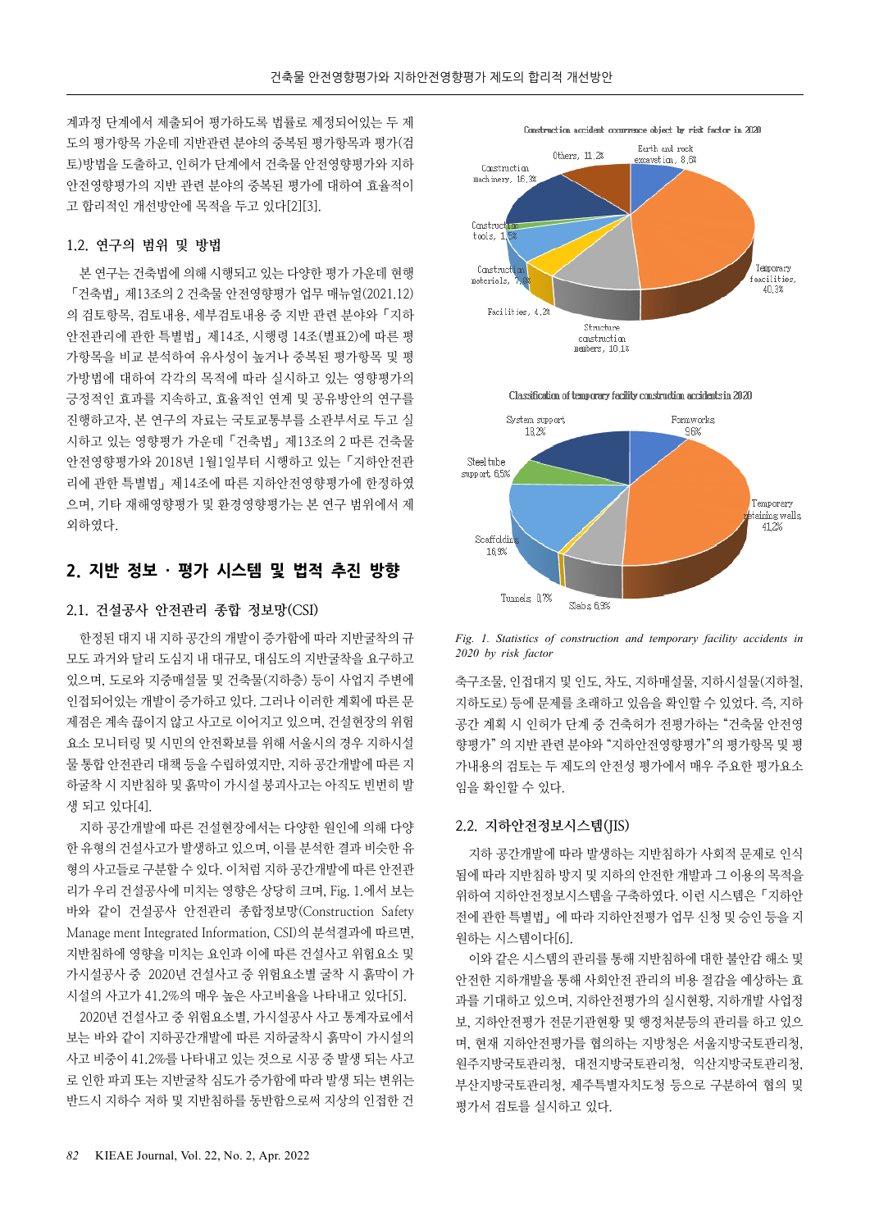계과정 단계에서 제출되어 평가하도록 법률로 제정되어있는 두 제 도의 평가항목 가운데 지반관련 분야의 중복된 평가항목과 평가(검 토)방법을 도출하고, 인허가 단계에서 건축물 안전영향평가와 지하 안전영향평가의 지반 관련 분야의 중복된 평가에 대하여 효율적이 고 합리적인 개선방안에 목적을 두고 있다[2][3].

#### 1.2. 연구의 범위 및 방법

본 연구는 건축법에 의해 시행되고 있는 다양한 평가 가운데 현행 「건축법」제13조의 2 건축물 안전영향평가 업무 매뉴얼(2021.12) 의 검토항목, 검토내용, 세부검토내용 중 지반 관련 분야와「지하 안전관리에 관한 특별법」제14조, 시행령 14조(별표2)에 따른 평 가항목을 비교 분석하여 유사성이 높거나 중복된 평가항목 및 평 가방법에 대하여 각각의 목적에 따라 실시하고 있는 영향평가의 긍정적인 효과를 지속하고, 효율적인 연계 및 공유방안의 연구를 진행하고자, 본 연구의 자료는 국토교통부를 소관부서로 두고 실 시하고 있는 영향평가 가운데「건축법」제13조의 2 따른 건축물 안전영향평가와 2018년 1월1일부터 시행하고 있는「지하안전관 리에 관한 특별법」제14조에 따른 지하안전영향평가에 한정하였 으며, 기타 재해영향평가 및 환경영향평가는 본 연구 범위에서 제 외하였다

### 2. 지반 정보 · 평가 시스템 및 법적 추진 방향

#### 2.1. 건설공사 안전관리 종합 정보망(CSI)

한정된 대지 내 지하 공간의 개발이 증가함에 따라 지반굴착의 규 모도 과거와 달리 도심지 내 대규모, 대심도의 지반굴착을 요구하고 있으며, 도로와 지중매설물 및 건축물(지하층) 등이 사업지 주변에 인접되어있는 개발이 증가하고 있다. 그러나 이러한 계획에 따른 문 제점은 계속 끊이지 않고 사고로 이어지고 있으며, 건설현장의 위험 요소 모니터링 및 시민의 안전확보를 위해 서울시의 경우 지하시설 물 통합 안전관리 대책 등을 수립하였지만, 지하 공간개발에 따른 지 하굴착 시 지반침하 및 흙막이 가시설 붕괴사고는 아직도 빈번히 발 생 되고 있다[4].

지하 공간개발에 따른 건설현장에서는 다양한 원인에 의해 다양 한 유형의 건설사고가 발생하고 있으며, 이를 분석한 결과 비슷한 유 형의 사고들로 구분할 수 있다. 이처럼 지하 공간개발에 따른 안전관 리가 우리 건설공사에 미치는 영향은 상당히 크며, Fig. 1.에서 보는 바와 같이 건설공사 안전관리 종합정보망(Construction Safety Manage ment Integrated Information, CSI)의 분석결과에 따르면, 지반침하에 영향을 미치는 요인과 이에 따른 건설사고 위험요소 및 가시설공사 중 2020년 건설사고 중 위험요소별 굴착 시 흙막이 가 시설의 사고가 41.2%의 매우 높은 사고비율을 나타내고 있다[5].

2020년 건설사고 중 위험요소별, 가시설공사 사고 통계자료에서 보는 바와 같이 지하공간개발에 따른 지하굴착시 흙막이 가시설의 사고 비중이 41.2%를 나타내고 있는 것으로 시공 중 발생 되는 사고 로 인한 파괴 또는 지반굴착 심도가 증가함에 따라 발생 되는 변위는 반드시 지하수 저하 및 지반침하를 동반함으로써 지상의 인접한 건



Classification of temporary facility construction accidents in 2020



*Fig. 1. Statistics of construction and temporary facility accidents in 2020 by risk factor* 

축구조물, 인접대지 및 인도, 차도, 지하매설물, 지하시설물(지하철, 지하도로) 등에 문제를 초래하고 있음을 확인할 수 있었다. 즉, 지하 공간 계획 시 인허가 단계 중 건축허가 전평가하는 "건축물 안전영 향평가" 의 지반 관련 분야와 "지하안전영향평가"의 평가항목 및 평 가내용의 검토는 두 제도의 안전성 평가에서 매우 주요한 평가요소 임을 확인할 수 있다.

#### 2.2. 지하안전정보시스템(JIS)

지하 공간개발에 따라 발생하는 지반침하가 사회적 문제로 인식 됨에 따라 지반침하 방지 및 지하의 안전한 개발과 그 이용의 목적을 위하여 지하안전정보시스템을 구축하였다. 이런 시스템은「지하안 전에 관한 특별법」에 따라 지하안전평가 업무 신청 및 승인 등을 지 원하는 시스템이다[6].

이와 같은 시스템의 관리를 통해 지반침하에 대한 불안감 해소 및 안전한 지하개발을 통해 사회안전 관리의 비용 절감을 예상하는 효 과를 기대하고 있으며, 지하안전평가의 실시현황, 지하개발 사업정 보, 지하안전평가 전문기관현황 및 행정처분등의 관리를 하고 있으 며, 현재 지하안전평가를 협의하는 지방청은 서울지방국토관리청, 원주지방국토관리청, 대전지방국토관리청, 익산지방국토관리청, 부산지방국토관리청, 제주특별자치도청 등으로 구분하여 협의 및 평가서 검토를 실시하고 있다.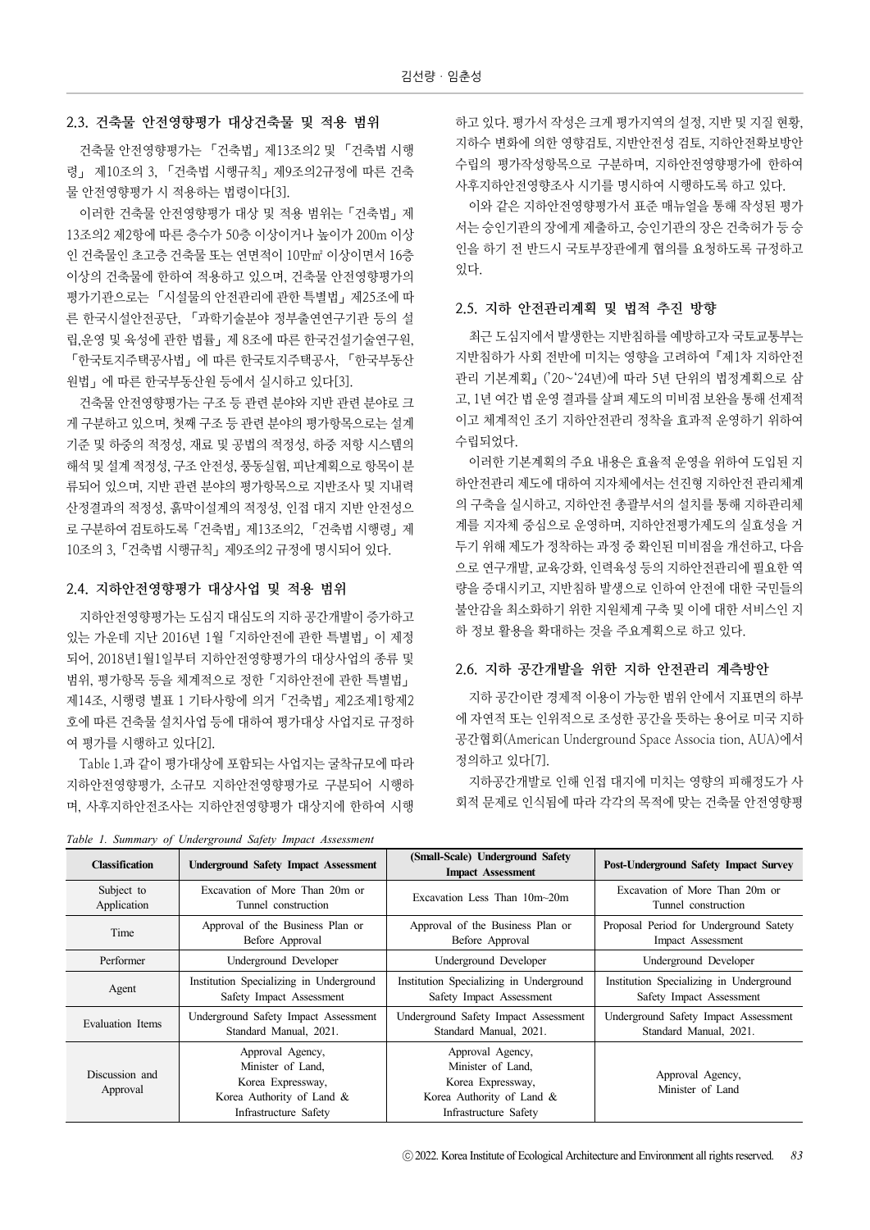#### 2.3. 건축물 안전영향평가 대상건축물 및 적용 범위

건축물 안전영향평가는 「건축법」제13조의2 및 「건축법 시행 령」 제10조의 3, 「건축법 시행규칙」제9조의2규정에 따른 건축 물 안전영향평가 시 적용하는 법령이다[3].

이러한 건축물 안전영향평가 대상 및 적용 범위는「건축법」제 13조의2 제2항에 따른 층수가 50층 이상이거나 높이가 200m 이상 인 건축물인 초고층 건축물 또는 연면적이 10만㎡ 이상이면서 16층 이상의 건축물에 한하여 적용하고 있으며, 건축물 안전영향평가의 평가기관으로는 「시설물의 안전관리에 관한 특별법」제25조에 따 른 한국시설안전공단, 「과학기술분야 정부출연연구기관 등의 설 립,운영 및 육성에 관한 법률」제 8조에 따른 한국건설기술연구원, 「한국토지주택공사법」에 따른 한국토지주택공사, 「한국부동산 원법」에 따른 한국부동산원 등에서 실시하고 있다[3].

건축물 안전영향평가는 구조 등 관련 분야와 지반 관련 분야로 크 게 구분하고 있으며, 첫째 구조 등 관련 분야의 평가항목으로는 설계 기준 및 하중의 적정성, 재료 및 공법의 적정성, 하중 저항 시스템의 해석 및 설계 적정성, 구조 안전성, 풍동실험, 피난계획으로 항목이 분 류되어 있으며, 지반 관련 분야의 평가항목으로 지반조사 및 지내력 산정결과의 적정성, 흙막이설계의 적정성, 인접 대지 지반 안전성으 로 구분하여 검토하도록「건축법」제13조의2, 「건축법 시행령」제 10조의 3,「건축법 시행규칙」제9조의2 규정에 명시되어 있다.

#### 2.4. 지하안전영향평가 대상사업 및 적용 범위

지하안전영향평가는 도심지 대심도의 지하 공간개발이 증가하고 있는 가운데 지난 2016년 1월「지하안전에 관한 특별법」이 제정 되어, 2018년1월1일부터 지하안전영향평가의 대상사업의 종류 및 범위, 평가항목 등을 체계적으로 정한「지하안전에 관한 특별법」 제14조, 시행령 별표 1 기타사항에 의거「건축법」제2조제1항제2 호에 따른 건축물 설치사업 등에 대하여 평가대상 사업지로 규정하 여 평가를 시행하고 있다[2].

Table 1.과 같이 평가대상에 포함되는 사업지는 굴착규모에 따라 지하안전영향평가, 소규모 지하안전영향평가로 구분되어 시행하 며, 사후지하안전조사는 지하안전영향평가 대상지에 한하여 시행

하고 있다. 평가서 작성은 크게 평가지역의 설정, 지반 및 지질 현황, 지하수 변화에 의한 영향검토, 지반안전성 검토, 지하안전확보방안 수립의 평가작성항목으로 구분하며, 지하안전영향평가에 한하여 사후지하안전영향조사 시기를 명시하여 시행하도록 하고 있다.

이와 같은 지하안전영향평가서 표준 매뉴얼을 통해 작성된 평가 서는 승인기관의 장에게 제출하고, 승인기관의 장은 건축허가 등 승 인을 하기 전 반드시 국토부장관에게 협의를 요청하도록 규정하고 있다.

#### 2.5. 지하 안전관리계획 및 법적 추진 방향

최근 도심지에서 발생한는 지반침하를 예방하고자 국토교통부는 지반침하가 사회 전반에 미치는 영향을 고려하여『제1차 지하안전 관리 기본계획』('20~'24년)에 따라 5년 단위의 법정계획으로 삼 고, 1년 여간 법 운영 결과를 살펴 제도의 미비점 보완을 통해 선제적 이고 체계적인 조기 지하안전관리 정착을 효과적 운영하기 위하여 수립되었다.

이러한 기본계획의 주요 내용은 효율적 운영을 위하여 도입된 지 하안전관리 제도에 대하여 지자체에서는 선진형 지하안전 관리체계 의 구축을 실시하고, 지하안전 총괄부서의 설치를 통해 지하관리체 계를 지자체 중심으로 운영하며, 지하안전평가제도의 실효성을 거 두기 위해 제도가 정착하는 과정 중 확인된 미비점을 개선하고, 다음 으로 연구개발, 교육강화, 인력육성 등의 지하안전관리에 필요한 역 량을 증대시키고, 지반침하 발생으로 인하여 안전에 대한 국민들의 불안감을 최소화하기 위한 지원체계 구축 및 이에 대한 서비스인 지 하 정보 활용을 확대하는 것을 주요계획으로 하고 있다.

#### 2.6. 지하 공간개발을 위한 지하 안전관리 계측방안

지하 공간이란 경제적 이용이 가능한 범위 안에서 지표면의 하부 에 자연적 또는 인위적으로 조성한 공간을 뜻하는 용어로 미국 지하 공간협회(American Underground Space Associa tion, AUA)에서 정의하고 있다[7].

지하공간개발로 인해 인접 대지에 미치는 영향의 피해정도가 사 회적 문제로 인식됨에 따라 각각의 목적에 맞는 건축물 안전영향평

| <b>Classification</b>      | <b>Underground Safety Impact Assessment</b>                                                                      | (Small-Scale) Underground Safety<br><b>Impact Assessment</b>                                                     | Post-Underground Safety Impact Survey   |
|----------------------------|------------------------------------------------------------------------------------------------------------------|------------------------------------------------------------------------------------------------------------------|-----------------------------------------|
| Subject to                 | Excavation of More Than 20m or                                                                                   | Excavation Less Than 10m~20m                                                                                     | Excavation of More Than 20m or          |
| Application                | Tunnel construction                                                                                              |                                                                                                                  | Tunnel construction                     |
| Time                       | Approval of the Business Plan or                                                                                 | Approval of the Business Plan or                                                                                 | Proposal Period for Underground Satety  |
|                            | Before Approval                                                                                                  | Before Approval                                                                                                  | Impact Assessment                       |
| Performer                  | Underground Developer                                                                                            | Underground Developer                                                                                            | Underground Developer                   |
| Agent                      | Institution Specializing in Underground                                                                          | Institution Specializing in Underground                                                                          | Institution Specializing in Underground |
|                            | Safety Impact Assessment                                                                                         | Safety Impact Assessment                                                                                         | Safety Impact Assessment                |
| Evaluation Items           | Underground Safety Impact Assessment                                                                             | Underground Safety Impact Assessment                                                                             | Underground Safety Impact Assessment    |
|                            | Standard Manual, 2021.                                                                                           | Standard Manual, 2021.                                                                                           | Standard Manual, 2021.                  |
| Discussion and<br>Approval | Approval Agency,<br>Minister of Land.<br>Korea Expressway,<br>Korea Authority of Land &<br>Infrastructure Safety | Approval Agency,<br>Minister of Land.<br>Korea Expressway,<br>Korea Authority of Land &<br>Infrastructure Safety | Approval Agency,<br>Minister of Land    |

*Table 1. Summary of Underground Safety Impact Assessment*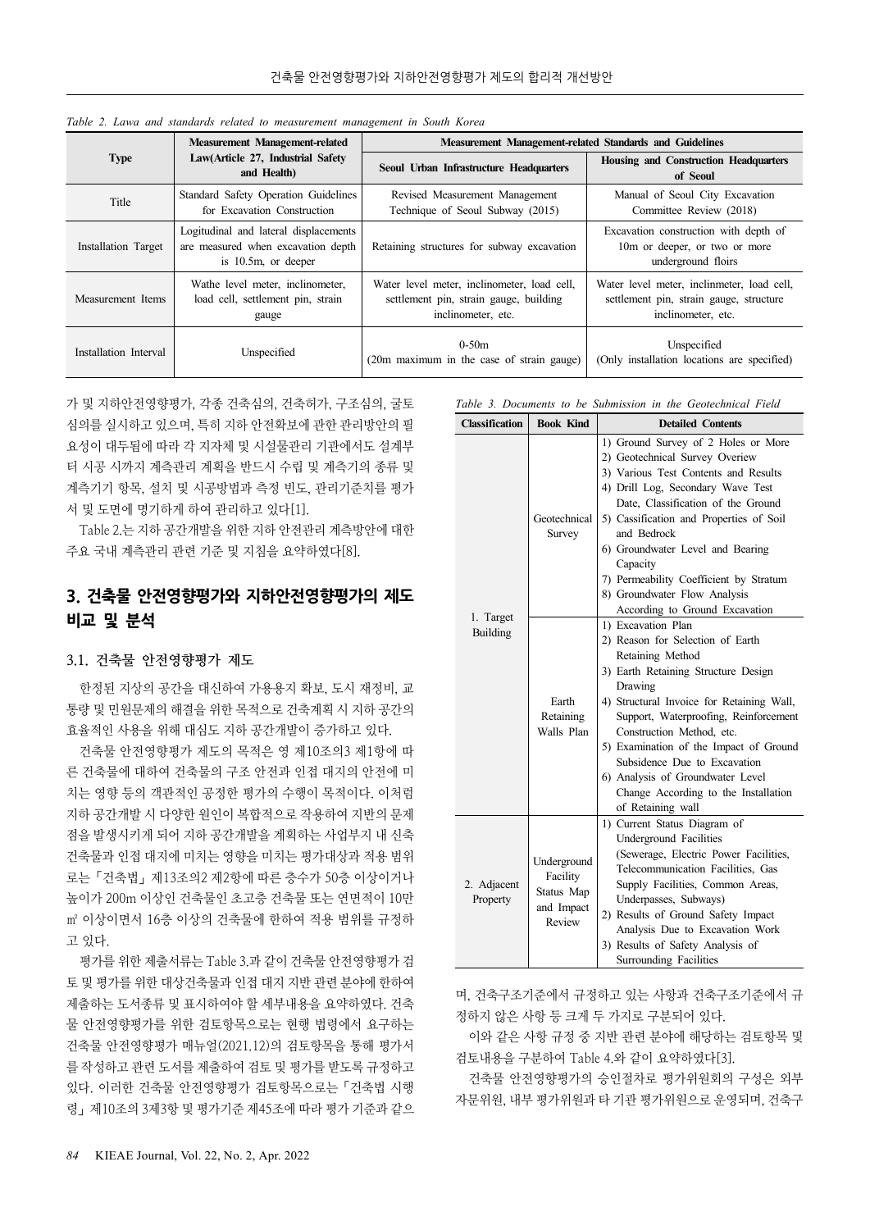| <b>Type</b>           | <b>Measurement Management-related</b><br>Law(Article 27, Industrial Safety<br>and Health)             | Measurement Management-related Standards and Guidelines                                                     |                                                                                                             |  |
|-----------------------|-------------------------------------------------------------------------------------------------------|-------------------------------------------------------------------------------------------------------------|-------------------------------------------------------------------------------------------------------------|--|
|                       |                                                                                                       | Seoul Urban Infrastructure Headquarters                                                                     | <b>Housing and Construction Headquarters</b><br>of Seoul                                                    |  |
| Title                 | Standard Safety Operation Guidelines<br>for Excavation Construction                                   | Revised Measurement Management<br>Technique of Seoul Subway (2015)                                          | Manual of Seoul City Excavation<br>Committee Review (2018)                                                  |  |
| Installation Target   | Logitudinal and lateral displacements<br>are measured when excavation depth<br>is $10.5m$ , or deeper | Retaining structures for subway excavation                                                                  | Excavation construction with depth of<br>10m or deeper, or two or more<br>underground floirs                |  |
| Measurement Items     | Wathe level meter, inclinometer,<br>load cell, settlement pin, strain<br>gauge                        | Water level meter, inclinometer, load cell,<br>settlement pin, strain gauge, building<br>inclinometer, etc. | Water level meter, inclinmeter, load cell,<br>settlement pin, strain gauge, structure<br>inclinometer, etc. |  |
| Installation Interval | Unspecified                                                                                           | $0 - 50m$<br>(20m maximum in the case of strain gauge)                                                      | Unspecified<br>(Only installation locations are specified)                                                  |  |

*Table 2. Lawa and standards related to measurement management in South Korea*

가 및 지하안전영향평가, 각종 건축심의, 건축허가, 구조심의, 굴토 심의를 실시하고 있으며, 특히 지하 안전확보에 관한 관리방안의 필 요성이 대두됨에 따라 각 지자체 및 시설물관리 기관에서도 설계부 터 시공 시까지 계측관리 계획을 반드시 수립 및 계측기의 종류 및 계측기기 항목, 설치 및 시공방법과 측정 빈도, 관리기준치를 평가 서 및 도면에 명기하게 하여 관리하고 있다[1].

Table 2.는 지하 공간개발을 위한 지하 안전관리 계측방안에 대한 주요 국내 계측관리 관련 기준 및 지침을 요약하였다[8].

## 3. 건축물 안전영향평가와 지하안전영향평가의 제도 비교 및 분석

3.1. 건축물 안전영향평가 제도

한정된 지상의 공간을 대신하여 가용용지 확보, 도시 재정비, 교 통량 및 민원문제의 해결을 위한 목적으로 건축계획 시 지하 공간의 효율적인 사용을 위해 대심도 지하 공간개발이 증가하고 있다.

건축물 안전영향평가 제도의 목적은 영 제10조의3 제1항에 따 른 건축물에 대하여 건축물의 구조 안전과 인접 대지의 안전에 미 치는 영향 등의 객관적인 공정한 평가의 수행이 목적이다. 이처럼 지하 공간개발 시 다양한 원인이 복합적으로 작용하여 지반의 문제 점을 발생시키게 되어 지하 공간개발을 계획하는 사업부지 내 신축 건축물과 인접 대지에 미치는 영향을 미치는 평가대상과 적용 범위 로는「건축법」제13조의2 제2항에 따른 층수가 50층 이상이거나 높이가 200m 이상인 건축물인 초고층 건축물 또는 연면적이 10만 ㎡ 이상이면서 16층 이상의 건축물에 한하여 적용 범위를 규정하 고 있다.

평가를 위한 제출서류는 Table 3.과 같이 건축물 안전영향평가 검 토 및 평가를 위한 대상건축물과 인접 대지 지반 관련 분야에 한하여 제출하는 도서종류 및 표시하여야 할 세부내용을 요약하였다. 건축 물 안전영향평가를 위한 검토항목으로는 현행 법령에서 요구하는 건축물 안전영향평가 매뉴얼(2021.12)의 검토항목을 통해 평가서 를 작성하고 관련 도서를 제출하여 검토 및 평가를 받도록 규정하고 있다. 이러한 건축물 안전영향평가 검토항목으로는「건축법 시행 령」제10조의 3제3항 및 평가기준 제45조에 따라 평가 기준과 같으 *Table 3. Documents to be Submission in the Geotechnical Field*

| <b>Classification</b>        | <b>Book Kind</b>                                              | <b>Detailed Contents</b>                                                                                                                                                                                                                                                                                                                                                                                                   |  |
|------------------------------|---------------------------------------------------------------|----------------------------------------------------------------------------------------------------------------------------------------------------------------------------------------------------------------------------------------------------------------------------------------------------------------------------------------------------------------------------------------------------------------------------|--|
| 1. Target<br><b>Building</b> | Geotechnical<br>Survey                                        | 1) Ground Survey of 2 Holes or More<br>2) Geotechnical Survey Overiew<br>3) Various Test Contents and Results<br>4) Drill Log, Secondary Wave Test<br>Date, Classification of the Ground<br>5) Cassification and Properties of Soil<br>and Bedrock<br>6) Groundwater Level and Bearing<br>Capacity<br>7) Permeability Coefficient by Stratum<br>8) Groundwater Flow Analysis<br>According to Ground Excavation             |  |
|                              | Earth<br>Retaining<br>Walls Plan                              | 1) Excavation Plan<br>2) Reason for Selection of Earth<br>Retaining Method<br>3) Earth Retaining Structure Design<br>Drawing<br>4) Structural Invoice for Retaining Wall,<br>Support, Waterproofing, Reinforcement<br>Construction Method, etc.<br>5) Examination of the Impact of Ground<br>Subsidence Due to Excavation<br>6) Analysis of Groundwater Level<br>Change According to the Installation<br>of Retaining wall |  |
| 2. Adjacent<br>Property      | Underground<br>Facility<br>Status Map<br>and Impact<br>Review | 1) Current Status Diagram of<br>Underground Facilities<br>(Sewerage, Electric Power Facilities,<br>Telecommunication Facilities, Gas<br>Supply Facilities, Common Areas,<br>Underpasses, Subways)<br>2) Results of Ground Safety Impact<br>Analysis Due to Excavation Work<br>3) Results of Safety Analysis of<br>Surrounding Facilities                                                                                   |  |

며, 건축구조기준에서 규정하고 있는 사항과 건축구조기준에서 규 정하지 않은 사항 등 크게 두 가지로 구분되어 있다.

이와 같은 사항 규정 중 지반 관련 분야에 해당하는 검토항목 및 검토내용을 구분하여 Table 4.와 같이 요약하였다[3].

건축물 안전영향평가의 승인절차로 평가위원회의 구성은 외부 자문위원, 내부 평가위원과 타 기관 평가위원으로 운영되며, 건축구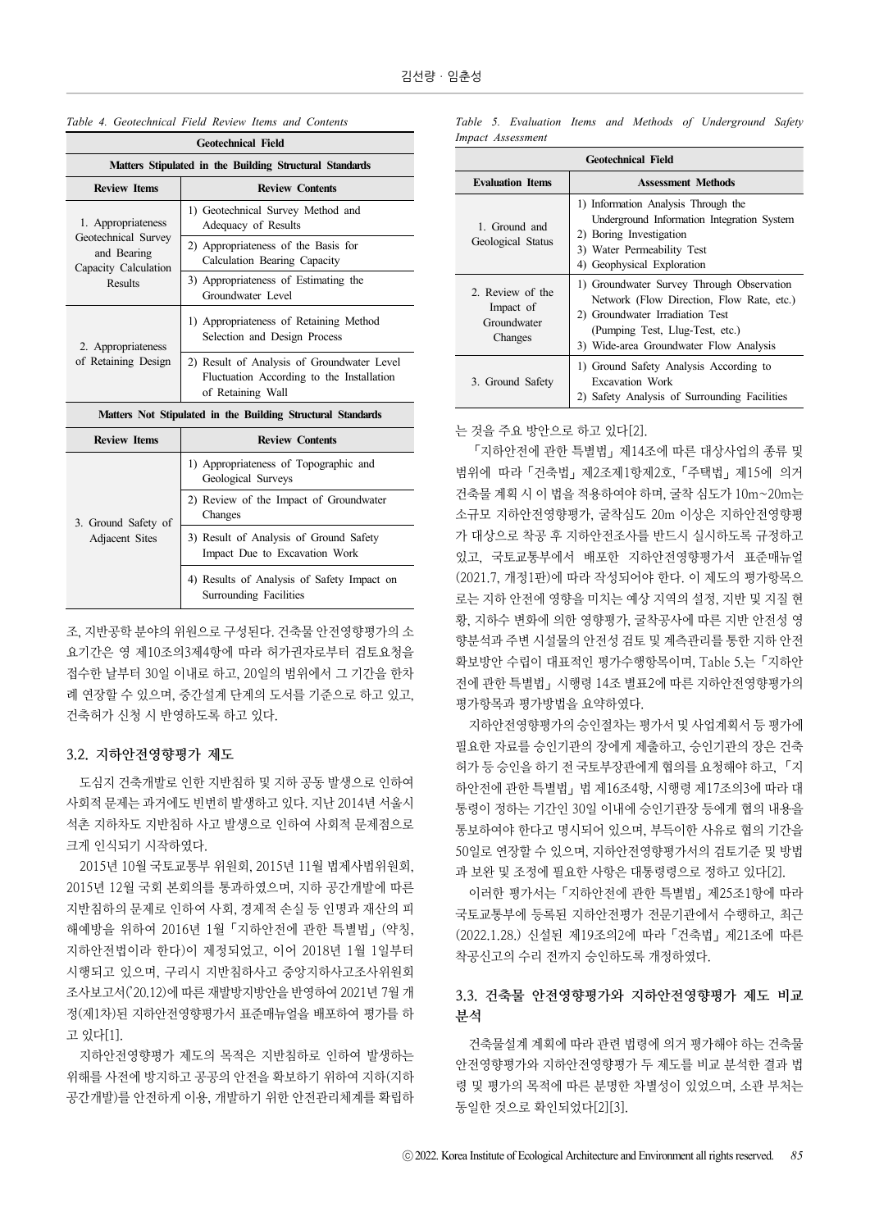| <b>Geotechnical Field</b>                                  |                                                                                                              |  |  |
|------------------------------------------------------------|--------------------------------------------------------------------------------------------------------------|--|--|
| Matters Stipulated in the Building Structural Standards    |                                                                                                              |  |  |
| <b>Review Items</b>                                        | <b>Review Contents</b>                                                                                       |  |  |
| 1. Appropriateness                                         | 1) Geotechnical Survey Method and<br>Adequacy of Results                                                     |  |  |
| Geotechnical Survey<br>and Bearing<br>Capacity Calculation | 2) Appropriateness of the Basis for<br>Calculation Bearing Capacity                                          |  |  |
| <b>Results</b>                                             | 3) Appropriateness of Estimating the<br>Groundwater Level                                                    |  |  |
| 2. Appropriateness                                         | 1) Appropriateness of Retaining Method<br>Selection and Design Process                                       |  |  |
| of Retaining Design                                        | 2) Result of Analysis of Groundwater Level<br>Fluctuation According to the Installation<br>of Retaining Wall |  |  |
|                                                            | Matters Not Stipulated in the Building Structural Standards                                                  |  |  |
| <b>Review Items</b>                                        | <b>Review Contents</b>                                                                                       |  |  |
|                                                            | 1) Appropriateness of Topographic and<br>Geological Surveys                                                  |  |  |
| 3. Ground Safety of                                        | 2) Review of the Impact of Groundwater<br>Changes                                                            |  |  |
| Adjacent Sites                                             | 3) Result of Analysis of Ground Safety<br>Impact Due to Excavation Work                                      |  |  |
|                                                            | 4) Results of Analysis of Safety Impact on                                                                   |  |  |

*Table 4. Geotechnical Field Review Items and Contents*

조, 지반공학 분야의 위원으로 구성된다. 건축물 안전영향평가의 소 요기간은 영 제10조의3제4항에 따라 허가권자로부터 검토요청을 접수한 날부터 30일 이내로 하고, 20일의 범위에서 그 기간을 한차 례 연장할 수 있으며, 중간설계 단계의 도서를 기준으로 하고 있고, 건축허가 신청 시 반영하도록 하고 있다.

Surrounding Facilities

#### 3.2. 지하안전영향평가 제도

도심지 건축개발로 인한 지반침하 및 지하 공동 발생으로 인하여 사회적 문제는 과거에도 빈번히 발생하고 있다. 지난 2014년 서울시 석촌 지하차도 지반침하 사고 발생으로 인하여 사회적 문제점으로 크게 인식되기 시작하였다.

2015년 10월 국토교통부 위원회, 2015년 11월 법제사법위원회, 2015년 12월 국회 본회의를 통과하였으며, 지하 공간개발에 따른 지반침하의 문제로 인하여 사회, 경제적 손실 등 인명과 재산의 피 해예방을 위하여 2016년 1월「지하안전에 관한 특별법」(약칭, 지하안전법이라 한다)이 제정되었고, 이어 2018년 1월 1일부터 시행되고 있으며, 구리시 지반침하사고 중앙지하사고조사위원회 조사보고서('20.12)에 따른 재발방지방안을 반영하여 2021년 7월 개 정(제1차)된 지하안전영향평가서 표준매뉴얼을 배포하여 평가를 하 고 있다[1].

지하안전영향평가 제도의 목적은 지반침하로 인하여 발생하는 위해를 사전에 방지하고 공공의 안전을 확보하기 위하여 지하(지하 공간개발)를 안전하게 이용, 개발하기 위한 안전관리체계를 확립하 *Table 5. Evaluation Items and Methods of Underground Safety Impact Assessment*

| <b>Geotechnical Field</b>                               |                                                                                                                                                                                                        |  |  |
|---------------------------------------------------------|--------------------------------------------------------------------------------------------------------------------------------------------------------------------------------------------------------|--|--|
| <b>Evaluation Items</b>                                 | <b>Assessment Methods</b>                                                                                                                                                                              |  |  |
| 1. Ground and<br>Geological Status                      | 1) Information Analysis Through the<br>Underground Information Integration System<br>2) Boring Investigation<br>3) Water Permeability Test<br>4) Geophysical Exploration                               |  |  |
| 2. Review of the<br>Impact of<br>Groundwater<br>Changes | 1) Groundwater Survey Through Observation<br>Network (Flow Direction, Flow Rate, etc.)<br>2) Groundwater Irradiation Test<br>(Pumping Test, Llug-Test, etc.)<br>3) Wide-area Groundwater Flow Analysis |  |  |
| 3. Ground Safety                                        | 1) Ground Safety Analysis According to<br><b>Excavation Work</b><br>2) Safety Analysis of Surrounding Facilities                                                                                       |  |  |

는 것을 주요 방안으로 하고 있다[2].

「지하안전에 관한 특별법」제14조에 따른 대상사업의 종류 및 범위에 따라「건축법」제2조제1항제2호,「주택법」제15에 의거 건축물 계획 시 이 법을 적용하여야 하며, 굴착 심도가 10m~20m는 소규모 지하안전영향평가, 굴착심도 20m 이상은 지하안전영향평 가 대상으로 착공 후 지하안전조사를 반드시 실시하도록 규정하고 있고, 국토교통부에서 배포한 지하안전영향평가서 표준매뉴얼 (2021.7, 개정1판)에 따라 작성되어야 한다. 이 제도의 평가항목으 로는 지하 안전에 영향을 미치는 예상 지역의 설정, 지반 및 지질 현 황, 지하수 변화에 의한 영향평가, 굴착공사에 따른 지반 안전성 영 향분석과 주변 시설물의 안전성 검토 및 계측관리를 통한 지하 안전 확보방안 수립이 대표적인 평가수행항목이며, Table 5.는「지하안 전에 관한 특별법」시행령 14조 별표2에 따른 지하안전영향평가의 평가항목과 평가방법을 요약하였다.

지하안전영향평가의 승인절차는 평가서 및 사업계획서 등 평가에 필요한 자료를 승인기관의 장에게 제출하고, 승인기관의 장은 건축 허가 등 승인을 하기 전 국토부장관에게 협의를 요청해야 하고, 「지 하안전에 관한 특별법」법 제16조4항, 시행령 제17조의3에 따라 대 통령이 정하는 기간인 30일 이내에 승인기관장 등에게 협의 내용을 통보하여야 한다고 명시되어 있으며, 부득이한 사유로 협의 기간을 50일로 연장할 수 있으며, 지하안전영향평가서의 검토기준 및 방법 과 보완 및 조정에 필요한 사항은 대통령령으로 정하고 있다[2].

이러한 평가서는「지하안전에 관한 특별법」제25조1항에 따라 국토교통부에 등록된 지하안전평가 전문기관에서 수행하고, 최근 (2022.1.28.) 신설된 제19조의2에 따라「건축법」제21조에 따른 착공신고의 수리 전까지 승인하도록 개정하였다.

#### 3.3. 건축물 안전영향평가와 지하안전영향평가 제도 비교 분석

건축물설계 계획에 따라 관련 법령에 의거 평가해야 하는 건축물 안전영향평가와 지하안전영향평가 두 제도를 비교 분석한 결과 법 령 및 평가의 목적에 따른 분명한 차별성이 있었으며, 소관 부처는 동일한 것으로 확인되었다[2][3].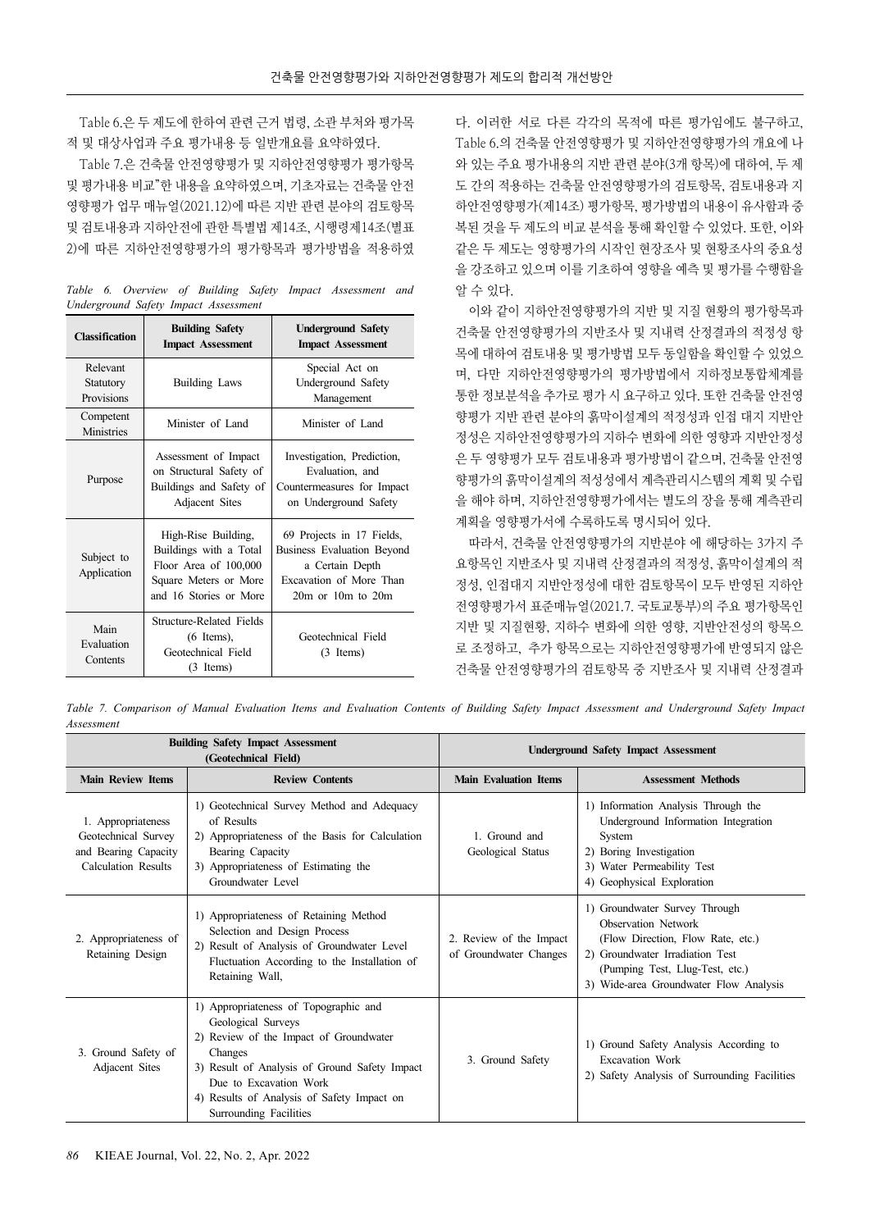Table 6.은 두 제도에 한하여 관련 근거 법령, 소관 부처와 평가목 적 및 대상사업과 주요 평가내용 등 일반개요를 요약하였다.

Table 7.은 건축물 안전영향평가 및 지하안전영향평가 평가항목 및 평가내용 비교"한 내용을 요약하였으며, 기초자료는 건축물 안전 영향평가 업무 매뉴얼(2021.12)에 따른 지반 관련 분야의 검토항목 및 검토내용과 지하안전에 관한 특별법 제14조, 시행령제14조(별표 2)에 따른 지하안전영향평가의 평가항목과 평가방법을 적용하였

*Table 6. Overview of Building Safety Impact Assessment and Underground Safety Impact Assessment*

| <b>Classification</b>               | <b>Building Safety</b><br><b>Impact Assessment</b>                                                                        | <b>Underground Safety</b><br><b>Impact Assessment</b>                                                                            |
|-------------------------------------|---------------------------------------------------------------------------------------------------------------------------|----------------------------------------------------------------------------------------------------------------------------------|
| Relevant<br>Statutory<br>Provisions | <b>Building Laws</b>                                                                                                      | Special Act on<br>Underground Safety<br>Management                                                                               |
| Competent<br><b>Ministries</b>      | Minister of Land                                                                                                          | Minister of Land                                                                                                                 |
| Purpose                             | Assessment of Impact<br>on Structural Safety of<br>Buildings and Safety of<br>Adjacent Sites                              | Investigation, Prediction,<br>Evaluation, and<br>Countermeasures for Impact<br>on Underground Safety                             |
| Subject to<br>Application           | High-Rise Building,<br>Buildings with a Total<br>Floor Area of 100,000<br>Square Meters or More<br>and 16 Stories or More | 69 Projects in 17 Fields,<br>Business Evaluation Beyond<br>a Certain Depth<br>Excavation of More Than<br>$20m$ or $10m$ to $20m$ |
| Main<br>Evaluation<br>Contents      | Structure-Related Fields<br>$(6$ Items),<br>Geotechnical Field<br>$(3$ Items)                                             | Geotechnical Field<br>$(3$ Items)                                                                                                |

다. 이러한 서로 다른 각각의 목적에 따른 평가임에도 불구하고, Table 6.의 건축물 안전영향평가 및 지하안전영향평가의 개요에 나 와 있는 주요 평가내용의 지반 관련 분야(3개 항목)에 대하여, 두 제 도 간의 적용하는 건축물 안전영향평가의 검토항목, 검토내용과 지 하안전영향평가(제14조) 평가항목, 평가방법의 내용이 유사함과 중 복된 것을 두 제도의 비교 분석을 통해 확인할 수 있었다. 또한, 이와 같은 두 제도는 영향평가의 시작인 현장조사 및 현황조사의 중요성 을 강조하고 있으며 이를 기초하여 영향을 예측 및 평가를 수행함을 알 수 있다.

이와 같이 지하안전영향평가의 지반 및 지질 현황의 평가항목과 건축물 안전영향평가의 지반조사 및 지내력 산정결과의 적정성 항 목에 대하여 검토내용 및 평가방법 모두 동일함을 확인할 수 있었으 며, 다만 지하안전영향평가의 평가방법에서 지하정보통합체계를 통한 정보분석을 추가로 평가 시 요구하고 있다. 또한 건축물 안전영 향평가 지반 관련 분야의 흙막이설계의 적정성과 인접 대지 지반안 정성은 지하안전영향평가의 지하수 변화에 의한 영향과 지반안정성 은 두 영향평가 모두 검토내용과 평가방법이 같으며, 건축물 안전영 향평가의 흙막이설계의 적성성에서 계측관리시스템의 계획 및 수립 을 해야 하며, 지하안전영향평가에서는 별도의 장을 통해 계측관리 계획을 영향평가서에 수록하도록 명시되어 있다.

따라서, 건축물 안전영향평가의 지반분야 에 해당하는 3가지 주 요항목인 지반조사 및 지내력 산정결과의 적정성, 흙막이설계의 적 정성, 인접대지 지반안정성에 대한 검토항목이 모두 반영된 지하안 전영향평가서 표준매뉴얼(2021.7. 국토교통부)의 주요 평가항목인 지반 및 지질현황, 지하수 변화에 의한 영향, 지반안전성의 항목으 로 조정하고, 추가 항목으로는 지하안전영향평가에 반영되지 않은 건축물 안전영향평가의 검토항목 중 지반조사 및 지내력 산정결과

*Table 7. Comparison of Manual Evaluation Items and Evaluation Contents of Building Safety Impact Assessment and Underground Safety Impact Assessment*

| <b>Building Safety Impact Assessment</b><br>(Geotechnical Field)                         |                                                                                                                                                                                                                                                                     | <b>Underground Safety Impact Assessment</b>       |                                                                                                                                                                                                                  |
|------------------------------------------------------------------------------------------|---------------------------------------------------------------------------------------------------------------------------------------------------------------------------------------------------------------------------------------------------------------------|---------------------------------------------------|------------------------------------------------------------------------------------------------------------------------------------------------------------------------------------------------------------------|
| <b>Main Review Items</b>                                                                 | <b>Review Contents</b>                                                                                                                                                                                                                                              | <b>Main Evaluation Items</b>                      | <b>Assessment Methods</b>                                                                                                                                                                                        |
| 1. Appropriateness<br>Geotechnical Survey<br>and Bearing Capacity<br>Calculation Results | 1) Geotechnical Survey Method and Adequacy<br>of Results<br>2) Appropriateness of the Basis for Calculation<br>Bearing Capacity<br>3) Appropriateness of Estimating the<br>Groundwater Level                                                                        | 1. Ground and<br>Geological Status                | 1) Information Analysis Through the<br>Underground Information Integration<br>System<br>2) Boring Investigation<br>3) Water Permeability Test<br>4) Geophysical Exploration                                      |
| 2. Appropriateness of<br>Retaining Design                                                | 1) Appropriateness of Retaining Method<br>Selection and Design Process<br>2) Result of Analysis of Groundwater Level<br>Fluctuation According to the Installation of<br>Retaining Wall,                                                                             | 2. Review of the Impact<br>of Groundwater Changes | 1) Groundwater Survey Through<br><b>Observation Network</b><br>(Flow Direction, Flow Rate, etc.)<br>2) Groundwater Irradiation Test<br>(Pumping Test, Llug-Test, etc.)<br>3) Wide-area Groundwater Flow Analysis |
| 3. Ground Safety of<br>Adjacent Sites                                                    | 1) Appropriateness of Topographic and<br>Geological Surveys<br>2) Review of the Impact of Groundwater<br>Changes<br>3) Result of Analysis of Ground Safety Impact<br>Due to Excavation Work<br>4) Results of Analysis of Safety Impact on<br>Surrounding Facilities | 3. Ground Safety                                  | 1) Ground Safety Analysis According to<br><b>Excavation Work</b><br>2) Safety Analysis of Surrounding Facilities                                                                                                 |